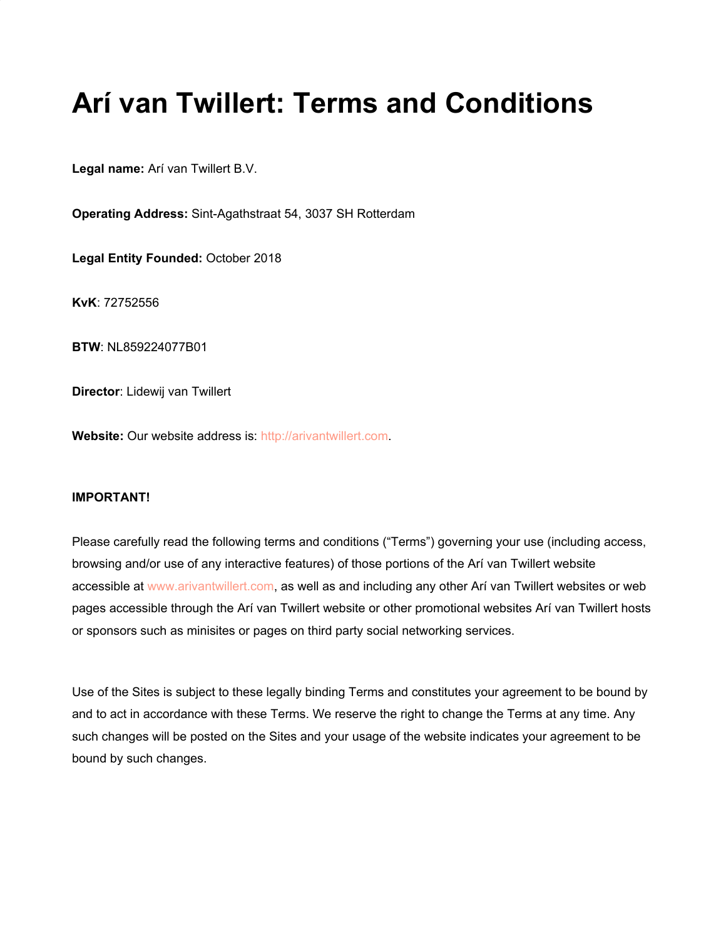# **Arí van Twillert: Terms and Conditions**

**Legal name:** Arí van Twillert B.V.

**Operating Address:** Sint-Agathstraat 54, 3037 SH Rotterdam

**Legal Entity Founded:** October 2018

**KvK**: 72752556

**BTW**: NL859224077B01

**Director**: Lidewij van Twillert

Website: Our website address is: [http://arivantwillert.com.](http://arivantwillert.com/)

# **IMPORTANT!**

Please carefully read the following terms and conditions ("Terms") governing your use (including access, browsing and/or use of any interactive features) of those portions of the Arí van Twillert website accessible at [www.arivantwillert.com](http://www.arivantwillert.com/), as well as and including any other Arí van Twillert websites or web pages accessible through the Arí van Twillert website or other promotional websites Arí van Twillert hosts or sponsors such as minisites or pages on third party social networking services.

Use of the Sites is subject to these legally binding Terms and constitutes your agreement to be bound by and to act in accordance with these Terms. We reserve the right to change the Terms at any time. Any such changes will be posted on the Sites and your usage of the website indicates your agreement to be bound by such changes.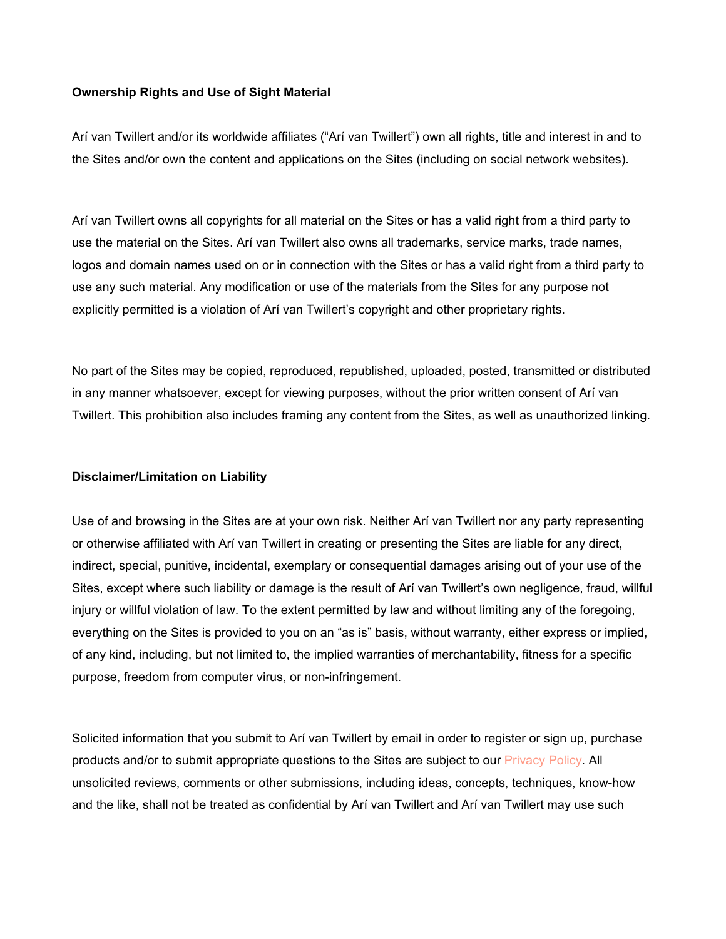### **Ownership Rights and Use of Sight Material**

Arí van Twillert and/or its worldwide affiliates ("Arí van Twillert") own all rights, title and interest in and to the Sites and/or own the content and applications on the Sites (including on social network websites).

Arí van Twillert owns all copyrights for all material on the Sites or has a valid right from a third party to use the material on the Sites. Arí van Twillert also owns all trademarks, service marks, trade names, logos and domain names used on or in connection with the Sites or has a valid right from a third party to use any such material. Any modification or use of the materials from the Sites for any purpose not explicitly permitted is a violation of Arí van Twillert's copyright and other proprietary rights.

No part of the Sites may be copied, reproduced, republished, uploaded, posted, transmitted or distributed in any manner whatsoever, except for viewing purposes, without the prior written consent of Arí van Twillert. This prohibition also includes framing any content from the Sites, as well as unauthorized linking.

#### **Disclaimer/Limitation on Liability**

Use of and browsing in the Sites are at your own risk. Neither Arí van Twillert nor any party representing or otherwise affiliated with Arí van Twillert in creating or presenting the Sites are liable for any direct, indirect, special, punitive, incidental, exemplary or consequential damages arising out of your use of the Sites, except where such liability or damage is the result of Arí van Twillert's own negligence, fraud, willful injury or willful violation of law. To the extent permitted by law and without limiting any of the foregoing, everything on the Sites is provided to you on an "as is" basis, without warranty, either express or implied, of any kind, including, but not limited to, the implied warranties of merchantability, fitness for a specific purpose, freedom from computer virus, or non-infringement.

Solicited information that you submit to Arí van Twillert by email in order to register or sign up, purchase products and/or to submit appropriate questions to the Sites are subject to our [Privacy Policy.](https://arivantwillert.com/privacy-policy/) All unsolicited reviews, comments or other submissions, including ideas, concepts, techniques, know-how and the like, shall not be treated as confidential by Arí van Twillert and Arí van Twillert may use such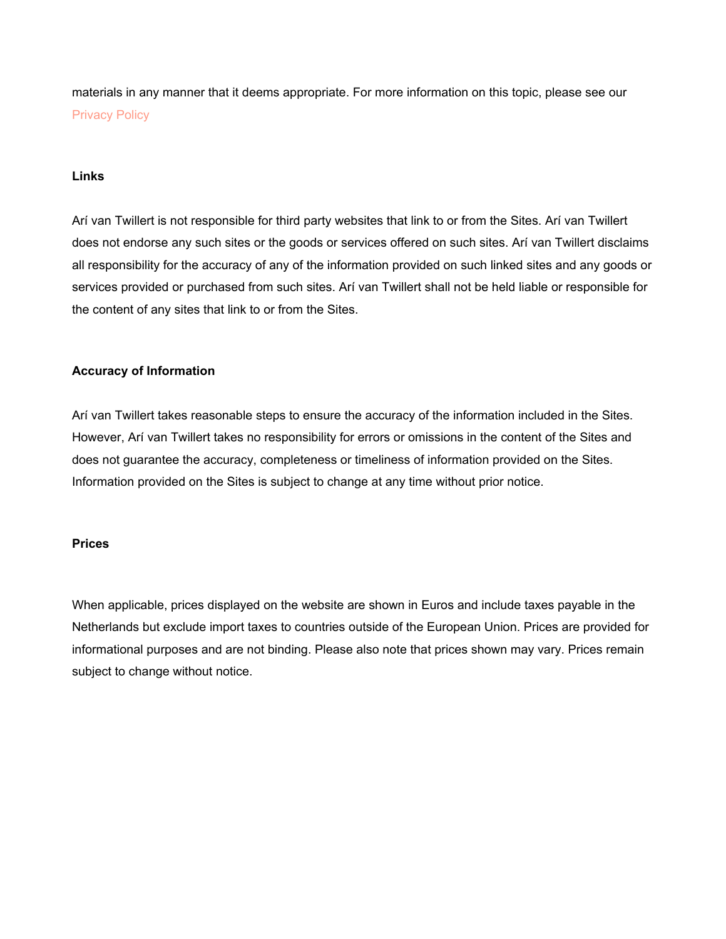materials in any manner that it deems appropriate. For more information on this topic, please see our [Privacy Policy](https://arivantwillert.com/privacy-policy/)

# **Links**

Arí van Twillert is not responsible for third party websites that link to or from the Sites. Arí van Twillert does not endorse any such sites or the goods or services offered on such sites. Arí van Twillert disclaims all responsibility for the accuracy of any of the information provided on such linked sites and any goods or services provided or purchased from such sites. Arí van Twillert shall not be held liable or responsible for the content of any sites that link to or from the Sites.

# **Accuracy of Information**

Arí van Twillert takes reasonable steps to ensure the accuracy of the information included in the Sites. However, Arí van Twillert takes no responsibility for errors or omissions in the content of the Sites and does not guarantee the accuracy, completeness or timeliness of information provided on the Sites. Information provided on the Sites is subject to change at any time without prior notice.

#### **Prices**

When applicable, prices displayed on the website are shown in Euros and include taxes payable in the Netherlands but exclude import taxes to countries outside of the European Union. Prices are provided for informational purposes and are not binding. Please also note that prices shown may vary. Prices remain subject to change without notice.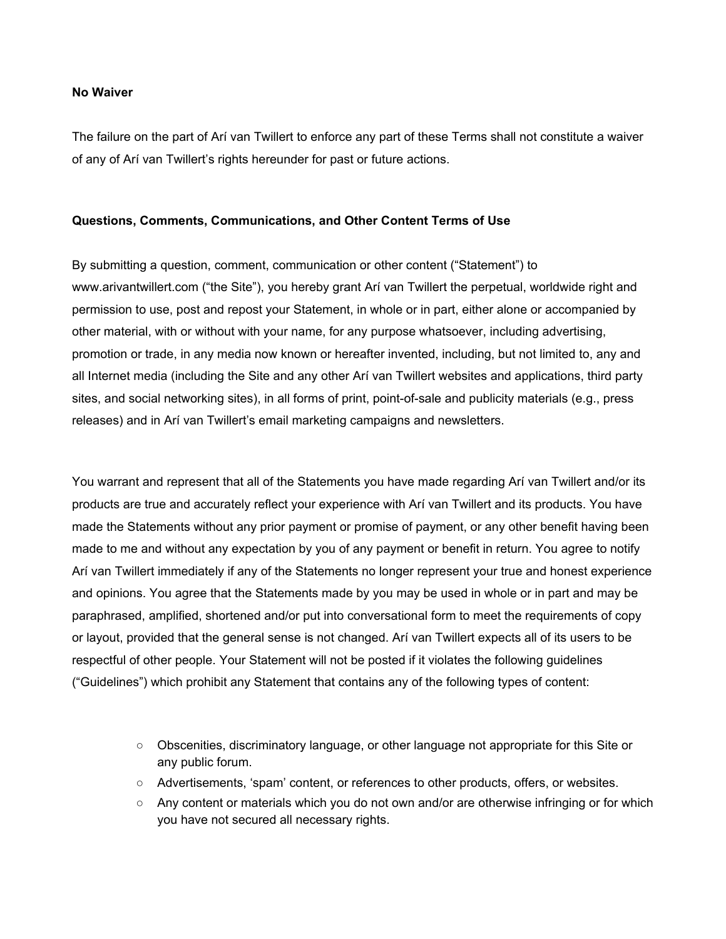#### **No Waiver**

The failure on the part of Arí van Twillert to enforce any part of these Terms shall not constitute a waiver of any of Arí van Twillert's rights hereunder for past or future actions.

#### **Questions, Comments, Communications, and Other Content Terms of Use**

By submitting a question, comment, communication or other content ("Statement") to www.arivantwillert.com ("the Site"), you hereby grant Arí van Twillert the perpetual, worldwide right and permission to use, post and repost your Statement, in whole or in part, either alone or accompanied by other material, with or without with your name, for any purpose whatsoever, including advertising, promotion or trade, in any media now known or hereafter invented, including, but not limited to, any and all Internet media (including the Site and any other Arí van Twillert websites and applications, third party sites, and social networking sites), in all forms of print, point-of-sale and publicity materials (e.g., press releases) and in Arí van Twillert's email marketing campaigns and newsletters.

You warrant and represent that all of the Statements you have made regarding Arí van Twillert and/or its products are true and accurately reflect your experience with Arí van Twillert and its products. You have made the Statements without any prior payment or promise of payment, or any other benefit having been made to me and without any expectation by you of any payment or benefit in return. You agree to notify Arí van Twillert immediately if any of the Statements no longer represent your true and honest experience and opinions. You agree that the Statements made by you may be used in whole or in part and may be paraphrased, amplified, shortened and/or put into conversational form to meet the requirements of copy or layout, provided that the general sense is not changed. Arí van Twillert expects all of its users to be respectful of other people. Your Statement will not be posted if it violates the following guidelines ("Guidelines") which prohibit any Statement that contains any of the following types of content:

- Obscenities, discriminatory language, or other language not appropriate for this Site or any public forum.
- Advertisements, 'spam' content, or references to other products, offers, or websites.
- Any content or materials which you do not own and/or are otherwise infringing or for which you have not secured all necessary rights.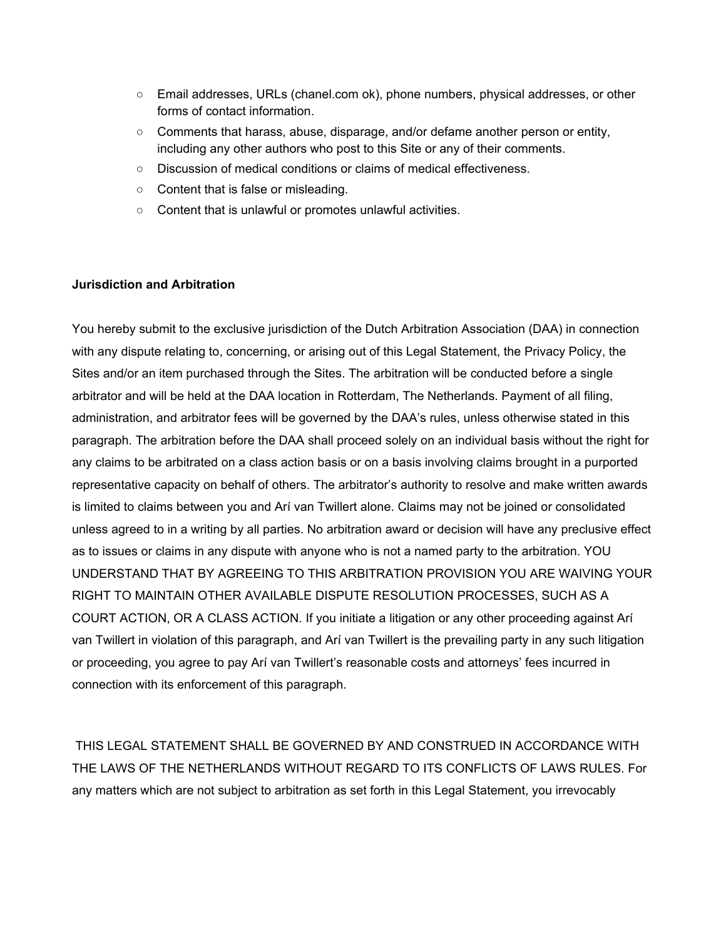- Email addresses, URLs (chanel.com ok), phone numbers, physical addresses, or other forms of contact information.
- Comments that harass, abuse, disparage, and/or defame another person or entity, including any other authors who post to this Site or any of their comments.
- Discussion of medical conditions or claims of medical effectiveness.
- Content that is false or misleading.
- Content that is unlawful or promotes unlawful activities.

# **Jurisdiction and Arbitration**

You hereby submit to the exclusive jurisdiction of the Dutch Arbitration Association (DAA) in connection with any dispute relating to, concerning, or arising out of this Legal Statement, the Privacy Policy, the Sites and/or an item purchased through the Sites. The arbitration will be conducted before a single arbitrator and will be held at the DAA location in Rotterdam, The Netherlands. Payment of all filing, administration, and arbitrator fees will be governed by the DAA's rules, unless otherwise stated in this paragraph. The arbitration before the DAA shall proceed solely on an individual basis without the right for any claims to be arbitrated on a class action basis or on a basis involving claims brought in a purported representative capacity on behalf of others. The arbitrator's authority to resolve and make written awards is limited to claims between you and Arí van Twillert alone. Claims may not be joined or consolidated unless agreed to in a writing by all parties. No arbitration award or decision will have any preclusive effect as to issues or claims in any dispute with anyone who is not a named party to the arbitration. YOU UNDERSTAND THAT BY AGREEING TO THIS ARBITRATION PROVISION YOU ARE WAIVING YOUR RIGHT TO MAINTAIN OTHER AVAILABLE DISPUTE RESOLUTION PROCESSES, SUCH AS A COURT ACTION, OR A CLASS ACTION. If you initiate a litigation or any other proceeding against Arí van Twillert in violation of this paragraph, and Arí van Twillert is the prevailing party in any such litigation or proceeding, you agree to pay Arí van Twillert's reasonable costs and attorneys' fees incurred in connection with its enforcement of this paragraph.

 THIS LEGAL STATEMENT SHALL BE GOVERNED BY AND CONSTRUED IN ACCORDANCE WITH THE LAWS OF THE NETHERLANDS WITHOUT REGARD TO ITS CONFLICTS OF LAWS RULES. For any matters which are not subject to arbitration as set forth in this Legal Statement, you irrevocably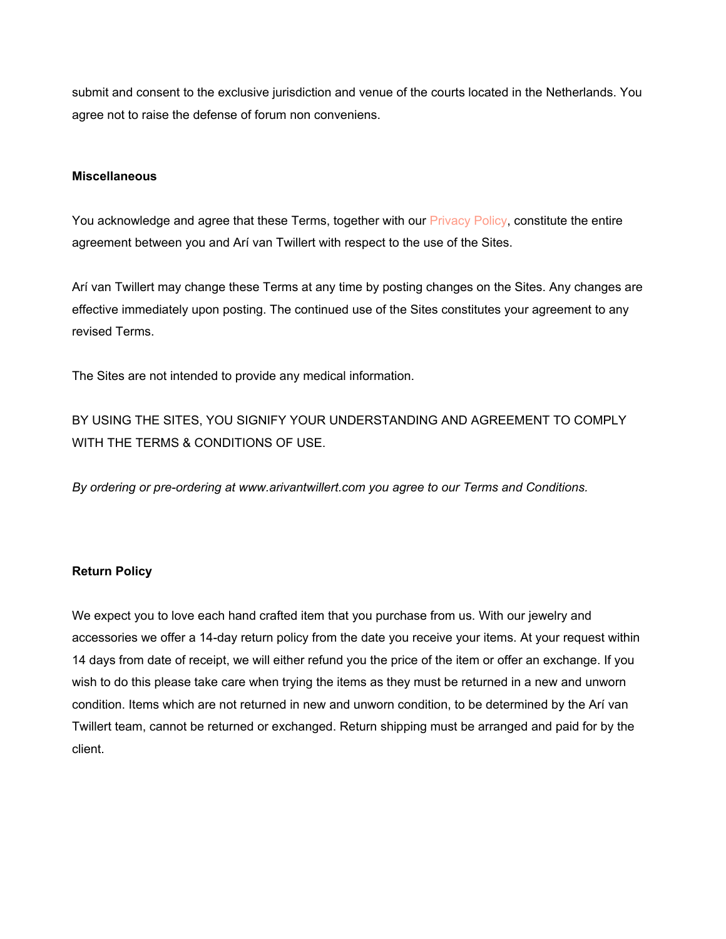submit and consent to the exclusive jurisdiction and venue of the courts located in the Netherlands. You agree not to raise the defense of forum non conveniens.

### **Miscellaneous**

You acknowledge and agree that these Terms, together with our **Privacy Policy, constitute the entire** agreement between you and Arí van Twillert with respect to the use of the Sites.

Arí van Twillert may change these Terms at any time by posting changes on the Sites. Any changes are effective immediately upon posting. The continued use of the Sites constitutes your agreement to any revised Terms.

The Sites are not intended to provide any medical information.

BY USING THE SITES, YOU SIGNIFY YOUR UNDERSTANDING AND AGREEMENT TO COMPLY WITH THE TERMS & CONDITIONS OF USE.

*By ordering or pre-ordering at www.arivantwillert.com you agree to our Terms and Conditions.*

# **Return Policy**

We expect you to love each hand crafted item that you purchase from us. With our jewelry and accessories we offer a 14-day return policy from the date you receive your items. At your request within 14 days from date of receipt, we will either refund you the price of the item or offer an exchange. If you wish to do this please take care when trying the items as they must be returned in a new and unworn condition. Items which are not returned in new and unworn condition, to be determined by the Arí van Twillert team, cannot be returned or exchanged. Return shipping must be arranged and paid for by the client.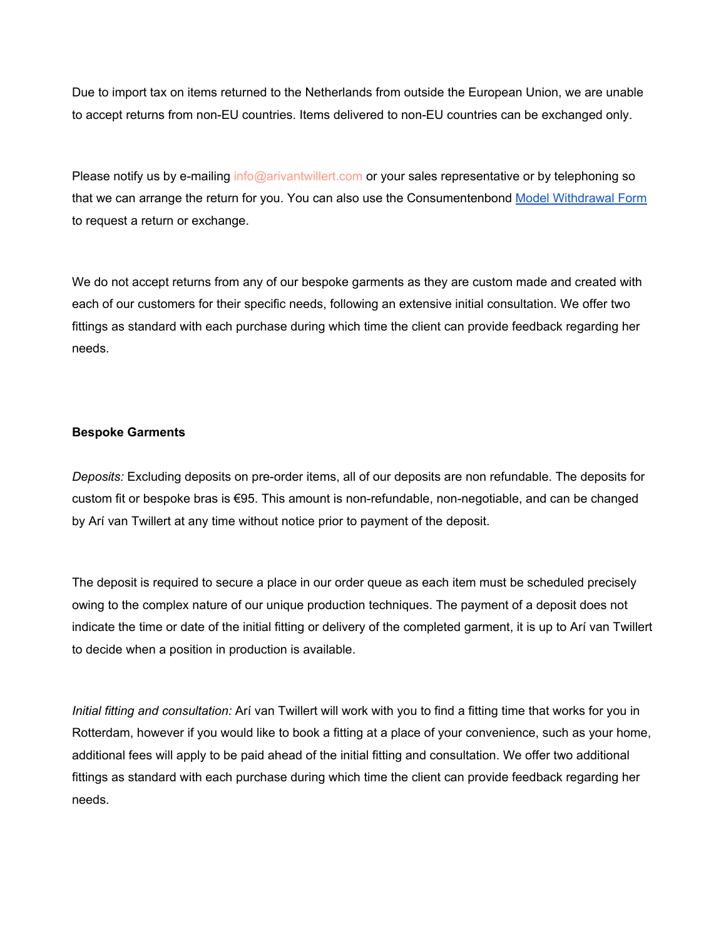Due to import tax on items returned to the Netherlands from outside the European Union, we are unable to accept returns from non-EU countries. Items delivered to non-EU countries can be exchanged only.

Please notify us by e-mailing info@arivantwillert.com or your sales representative or by telephoning so that we can arrange the return for you. You can also use the Consumentenbond [Model Withdrawal Form](https://www.consumentenbond.nl/binaries/content/assets/cbhippowebsite/tests/online-kopen/modelformulier-ontbinding-herroeping-2014.pdf) to request a return or exchange.

We do not accept returns from any of our bespoke garments as they are custom made and created with each of our customers for their specific needs, following an extensive initial consultation. We offer two fittings as standard with each purchase during which time the client can provide feedback regarding her needs.

#### **Bespoke Garments**

*Deposits:* Excluding deposits on pre-order items, all of our deposits are non refundable. The deposits for custom fit or bespoke bras is €95. This amount is non-refundable, non-negotiable, and can be changed by Arí van Twillert at any time without notice prior to payment of the deposit.

The deposit is required to secure a place in our order queue as each item must be scheduled precisely owing to the complex nature of our unique production techniques. The payment of a deposit does not indicate the time or date of the initial fitting or delivery of the completed garment, it is up to Arí van Twillert to decide when a position in production is available.

*Initial fitting and consultation:* Arí van Twillert will work with you to find a fitting time that works for you in Rotterdam, however if you would like to book a fitting at a place of your convenience, such as your home, additional fees will apply to be paid ahead of the initial fitting and consultation. We offer two additional fittings as standard with each purchase during which time the client can provide feedback regarding her needs.